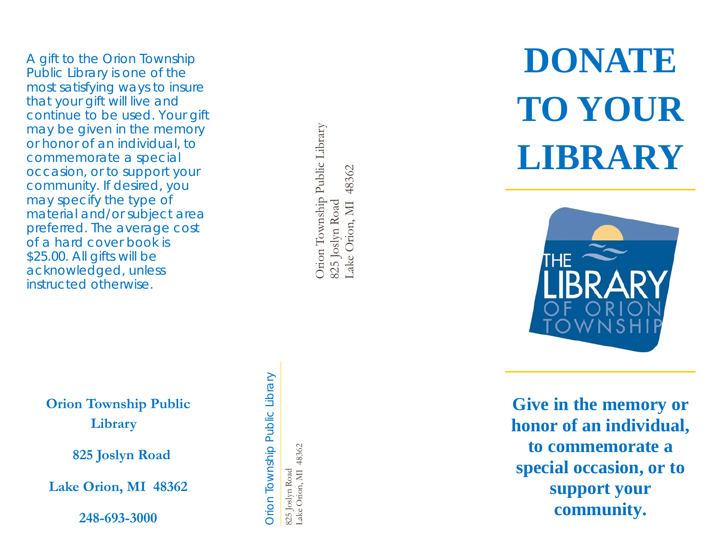A gift to the Orion Township Public Library is one of the most satisfying ways to insure that your gift will live and continue to be used. Your gift may be given in the memory or honor of an individual, to commemorate a special occasion, or to support your community. If desired, you may specify the type of material and/or subject area preferred. The average cost of a hard cover book is \$25.00. All gifts will be acknowledged, unless instructed otherwise.

Orion Township Public Library Orion Township Public Library 48362 Lake Orion, MI 48362 825 Joslyn Road Lake Orion, MI 825 Joslyn Road

## **Orion Township Public**  Library

**8825 Joslyn Road** 

**Lake Orion, MI 48362** 

**248-693-3000** 

Orion Township Public Library Orion Township Public Library

Lake Orion, MI 48362 825 Joslyn Road<br>Lake Orion, MI 48362 825 Joslyn Road

## **DONATE TO YOUR LIBRARY**



**Give in the memory or honor of an individual, to commemorate a special occasion, or to support your community.**